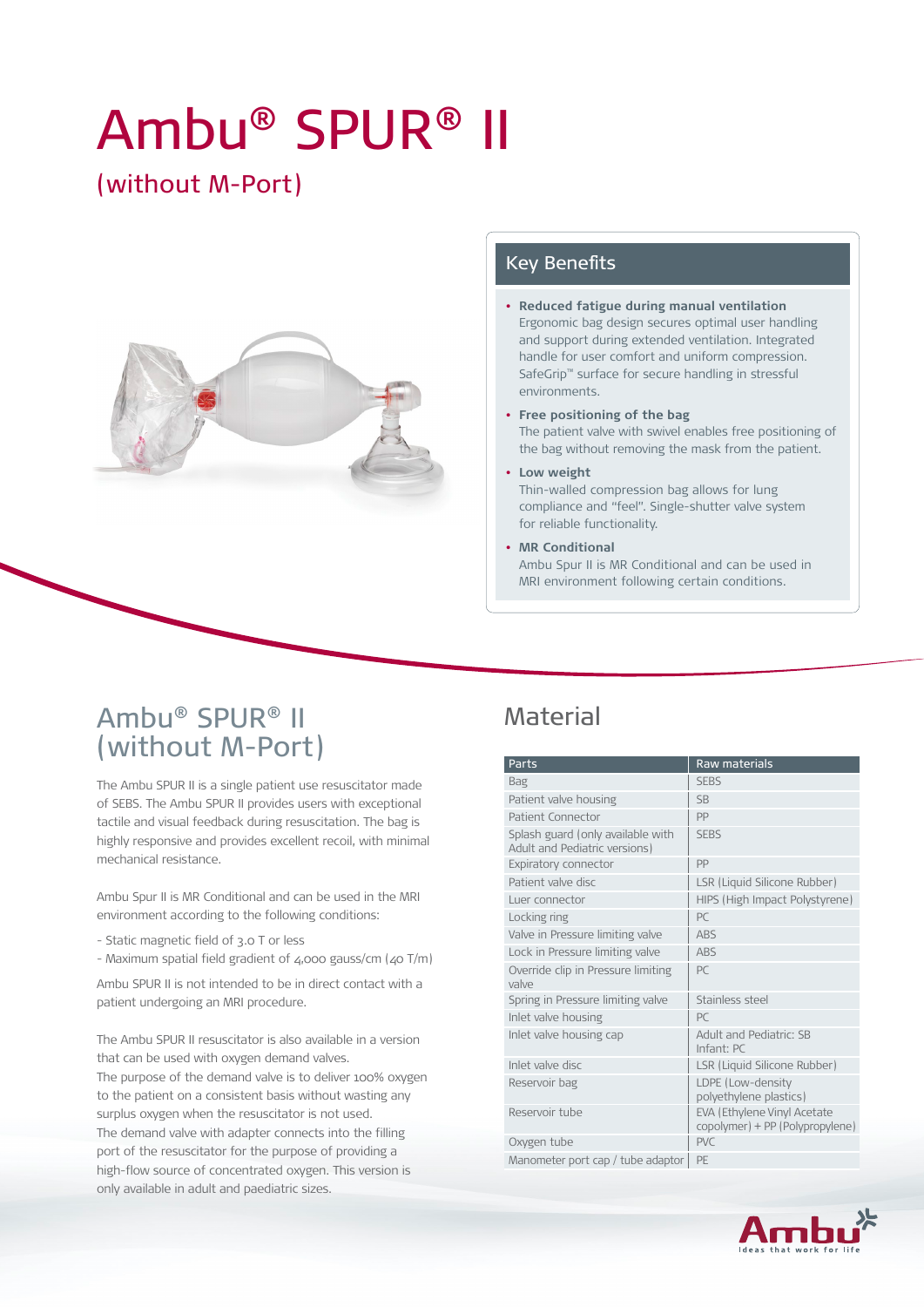# Ambu® SPUR® II

# (without M-Port)



#### Key Benefits

- **• Reduced fatigue during manual ventilation** Ergonomic bag design secures optimal user handling and support during extended ventilation. Integrated handle for user comfort and uniform compression. SafeGrip™ surface for secure handling in stressful environments.
- **• Free positioning of the bag** The patient valve with swivel enables free positioning of the bag without removing the mask from the patient.
- **• Low weight** Thin-walled compression bag allows for lung compliance and "feel". Single-shutter valve system for reliable functionality.
- **• MR Conditional** Ambu Spur II is MR Conditional and can be used in MRI environment following certain conditions.

### Ambu® SPUR® II (without M-Port)

The Ambu SPUR II is a single patient use resuscitator made of SEBS. The Ambu SPUR II provides users with exceptional tactile and visual feedback during resuscitation. The bag is highly responsive and provides excellent recoil, with minimal mechanical resistance.

Ambu Spur II is MR Conditional and can be used in the MRI environment according to the following conditions:

- Static magnetic field of 3.0 T or less
- Maximum spatial field gradient of 4,000 gauss/cm (40 T/m)

Ambu SPUR II is not intended to be in direct contact with a patient undergoing an MRI procedure.

The Ambu SPUR II resuscitator is also available in a version that can be used with oxygen demand valves. The purpose of the demand valve is to deliver 100% oxygen to the patient on a consistent basis without wasting any surplus oxygen when the resuscitator is not used. The demand valve with adapter connects into the filling port of the resuscitator for the purpose of providing a high-flow source of concentrated oxygen. This version is only available in adult and paediatric sizes.

#### **Material**

| Parts                                                              | <b>Raw materials</b>                                           |
|--------------------------------------------------------------------|----------------------------------------------------------------|
| Bag                                                                | <b>SEBS</b>                                                    |
| Patient valve housing                                              | <b>SB</b>                                                      |
| Patient Connector                                                  | PP                                                             |
| Splash guard (only available with<br>Adult and Pediatric versions) | <b>SEBS</b>                                                    |
| <b>Expiratory connector</b>                                        | PP                                                             |
| Patient valve disc                                                 | LSR (Liquid Silicone Rubber)                                   |
| Luer connector                                                     | HIPS (High Impact Polystyrene)                                 |
| Locking ring                                                       | PC                                                             |
| Valve in Pressure limiting valve                                   | <b>ABS</b>                                                     |
| Lock in Pressure limiting valve                                    | <b>ARS</b>                                                     |
| Override clip in Pressure limiting<br>valve                        | PC                                                             |
| Spring in Pressure limiting valve                                  | Stainless steel                                                |
| Inlet valve housing                                                | PC                                                             |
| Inlet valve housing cap                                            | Adult and Pediatric: SB<br>Infant: PC                          |
| Inlet valve disc                                                   | LSR (Liquid Silicone Rubber)                                   |
| Reservoir bag                                                      | LDPE (Low-density<br>polyethylene plastics)                    |
| Reservoir tube                                                     | EVA (Ethylene Vinyl Acetate<br>copolymer) + PP (Polypropylene) |
| Oxygen tube                                                        | PVC                                                            |
| Manometer port cap / tube adaptor                                  | PE                                                             |